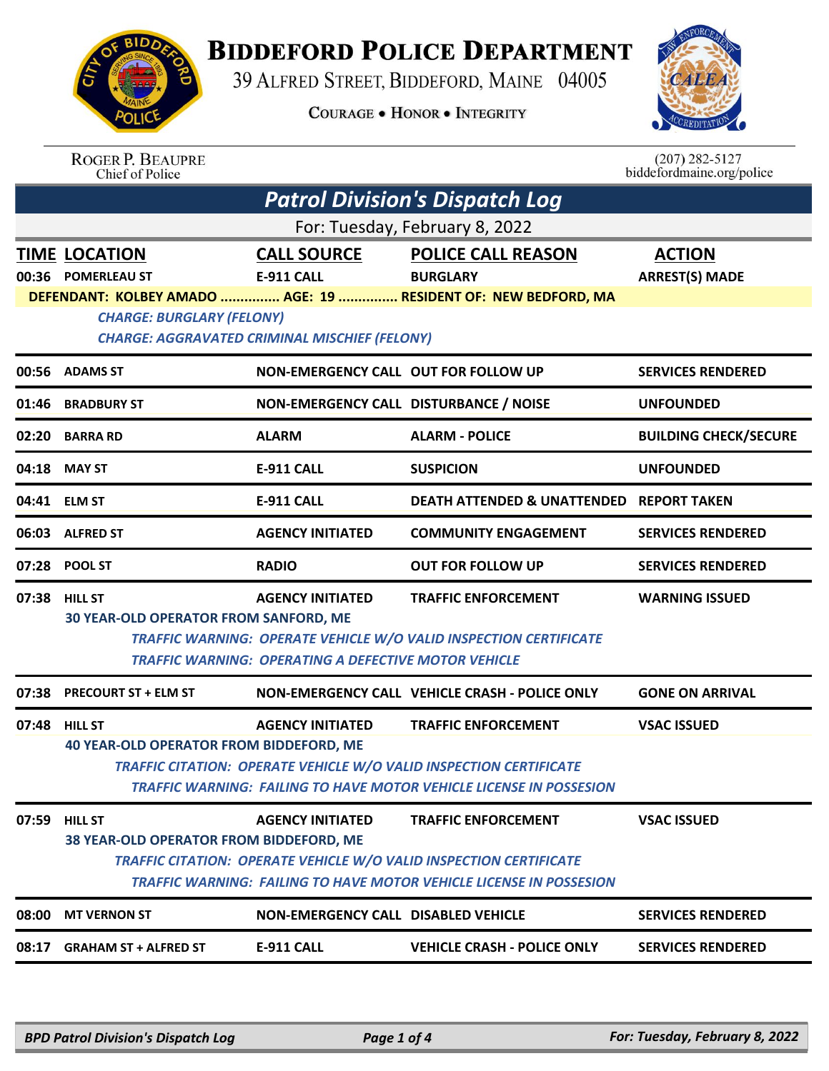

## **BIDDEFORD POLICE DEPARTMENT**

39 ALFRED STREET, BIDDEFORD, MAINE 04005

**COURAGE . HONOR . INTEGRITY** 



## ROGER P. BEAUPRE<br>Chief of Police

 $(207)$  282-5127 biddefordmaine.org/police

|                                | <b>Patrol Division's Dispatch Log</b>                                                    |                                                                                        |                                                                                                                                                                                |                                        |  |  |
|--------------------------------|------------------------------------------------------------------------------------------|----------------------------------------------------------------------------------------|--------------------------------------------------------------------------------------------------------------------------------------------------------------------------------|----------------------------------------|--|--|
| For: Tuesday, February 8, 2022 |                                                                                          |                                                                                        |                                                                                                                                                                                |                                        |  |  |
|                                | <b>TIME LOCATION</b><br>00:36 POMERLEAU ST                                               | <b>CALL SOURCE</b><br>E-911 CALL                                                       | <b>POLICE CALL REASON</b><br><b>BURGLARY</b><br>DEFENDANT: KOLBEY AMADO  AGE: 19  RESIDENT OF: NEW BEDFORD, MA                                                                 | <b>ACTION</b><br><b>ARREST(S) MADE</b> |  |  |
|                                | <b>CHARGE: BURGLARY (FELONY)</b><br><b>CHARGE: AGGRAVATED CRIMINAL MISCHIEF (FELONY)</b> |                                                                                        |                                                                                                                                                                                |                                        |  |  |
|                                | 00:56 ADAMS ST                                                                           | NON-EMERGENCY CALL OUT FOR FOLLOW UP                                                   |                                                                                                                                                                                | <b>SERVICES RENDERED</b>               |  |  |
| 01:46                          | <b>BRADBURY ST</b>                                                                       | NON-EMERGENCY CALL DISTURBANCE / NOISE                                                 |                                                                                                                                                                                | <b>UNFOUNDED</b>                       |  |  |
|                                | 02:20 BARRA RD                                                                           | <b>ALARM</b>                                                                           | <b>ALARM - POLICE</b>                                                                                                                                                          | <b>BUILDING CHECK/SECURE</b>           |  |  |
|                                | 04:18 MAY ST                                                                             | E-911 CALL                                                                             | <b>SUSPICION</b>                                                                                                                                                               | <b>UNFOUNDED</b>                       |  |  |
|                                | 04:41 ELM ST                                                                             | E-911 CALL                                                                             | <b>DEATH ATTENDED &amp; UNATTENDED</b>                                                                                                                                         | <b>REPORT TAKEN</b>                    |  |  |
|                                | 06:03 ALFRED ST                                                                          | <b>AGENCY INITIATED</b>                                                                | <b>COMMUNITY ENGAGEMENT</b>                                                                                                                                                    | <b>SERVICES RENDERED</b>               |  |  |
|                                | 07:28 POOL ST                                                                            | <b>RADIO</b>                                                                           | <b>OUT FOR FOLLOW UP</b>                                                                                                                                                       | <b>SERVICES RENDERED</b>               |  |  |
|                                | 07:38 HILL ST<br>30 YEAR-OLD OPERATOR FROM SANFORD, ME                                   | <b>AGENCY INITIATED</b><br><b>TRAFFIC WARNING: OPERATING A DEFECTIVE MOTOR VEHICLE</b> | <b>TRAFFIC ENFORCEMENT</b><br>TRAFFIC WARNING: OPERATE VEHICLE W/O VALID INSPECTION CERTIFICATE                                                                                | <b>WARNING ISSUED</b>                  |  |  |
| 07:38                          | <b>PRECOURT ST + ELM ST</b>                                                              |                                                                                        | NON-EMERGENCY CALL VEHICLE CRASH - POLICE ONLY                                                                                                                                 | <b>GONE ON ARRIVAL</b>                 |  |  |
|                                | 07:48 HILL ST<br><b>40 YEAR-OLD OPERATOR FROM BIDDEFORD, ME</b>                          | <b>AGENCY INITIATED</b>                                                                | <b>TRAFFIC ENFORCEMENT</b><br>TRAFFIC CITATION: OPERATE VEHICLE W/O VALID INSPECTION CERTIFICATE<br>TRAFFIC WARNING: FAILING TO HAVE MOTOR VEHICLE LICENSE IN POSSESION        | <b>VSAC ISSUED</b>                     |  |  |
| 07:59                          | <b>HILL ST</b><br>38 YEAR-OLD OPERATOR FROM BIDDEFORD, ME                                | <b>AGENCY INITIATED</b>                                                                | <b>TRAFFIC ENFORCEMENT</b><br>TRAFFIC CITATION: OPERATE VEHICLE W/O VALID INSPECTION CERTIFICATE<br><b>TRAFFIC WARNING: FAILING TO HAVE MOTOR VEHICLE LICENSE IN POSSESION</b> | <b>VSAC ISSUED</b>                     |  |  |
| 08:00                          | <b>MT VERNON ST</b>                                                                      | NON-EMERGENCY CALL DISABLED VEHICLE                                                    |                                                                                                                                                                                | <b>SERVICES RENDERED</b>               |  |  |
| 08:17                          | <b>GRAHAM ST + ALFRED ST</b>                                                             | <b>E-911 CALL</b>                                                                      | <b>VEHICLE CRASH - POLICE ONLY</b>                                                                                                                                             | <b>SERVICES RENDERED</b>               |  |  |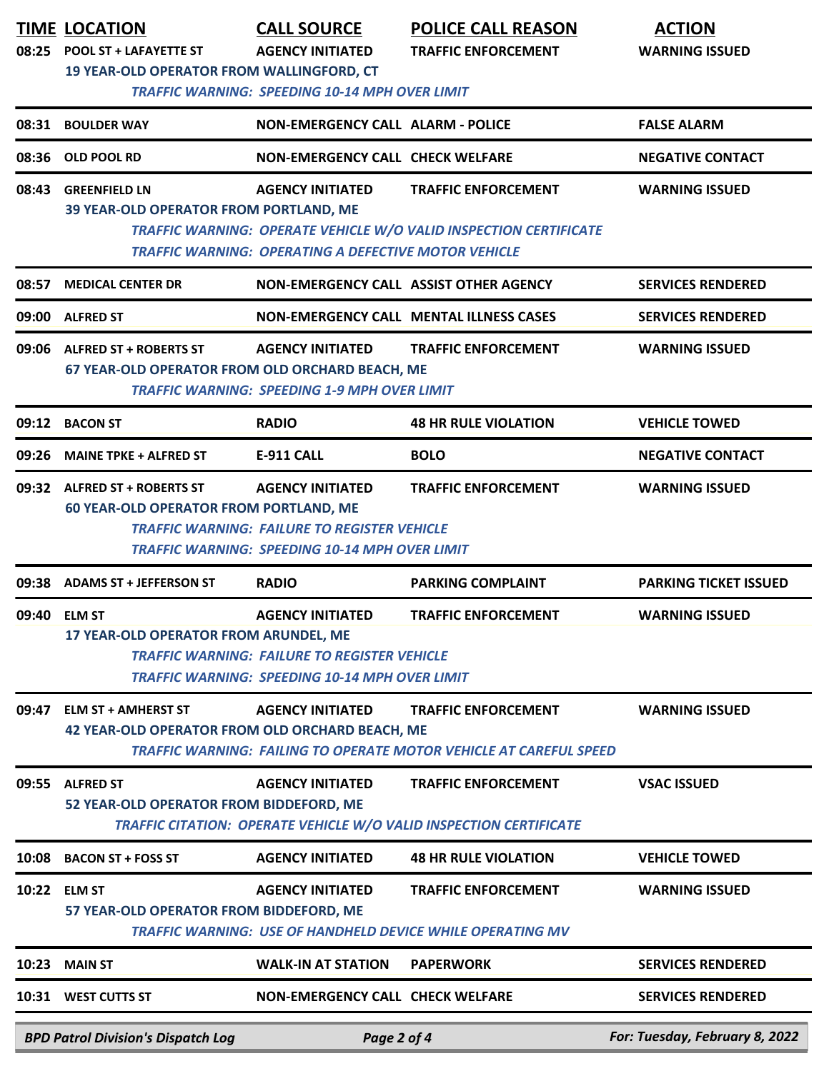| 08:25 | <b>TIME LOCATION</b><br>POOL ST + LAFAYETTE ST<br>19 YEAR-OLD OPERATOR FROM WALLINGFORD, CT | <b>CALL SOURCE</b><br><b>AGENCY INITIATED</b>                                                                                           | <b>POLICE CALL REASON</b><br><b>TRAFFIC ENFORCEMENT</b>                                                 | <b>ACTION</b><br><b>WARNING ISSUED</b> |
|-------|---------------------------------------------------------------------------------------------|-----------------------------------------------------------------------------------------------------------------------------------------|---------------------------------------------------------------------------------------------------------|----------------------------------------|
|       |                                                                                             | <b>TRAFFIC WARNING: SPEEDING 10-14 MPH OVER LIMIT</b>                                                                                   |                                                                                                         |                                        |
| 08:31 | <b>BOULDER WAY</b>                                                                          | <b>NON-EMERGENCY CALL ALARM - POLICE</b>                                                                                                |                                                                                                         | <b>FALSE ALARM</b>                     |
| 08:36 | OLD POOL RD                                                                                 | <b>NON-EMERGENCY CALL CHECK WELFARE</b>                                                                                                 |                                                                                                         | <b>NEGATIVE CONTACT</b>                |
| 08:43 | <b>GREENFIELD LN</b><br>39 YEAR-OLD OPERATOR FROM PORTLAND, ME                              | <b>AGENCY INITIATED</b>                                                                                                                 | <b>TRAFFIC ENFORCEMENT</b>                                                                              | <b>WARNING ISSUED</b>                  |
|       |                                                                                             | <b>TRAFFIC WARNING: OPERATING A DEFECTIVE MOTOR VEHICLE</b>                                                                             | TRAFFIC WARNING: OPERATE VEHICLE W/O VALID INSPECTION CERTIFICATE                                       |                                        |
| 08:57 | <b>MEDICAL CENTER DR</b>                                                                    | NON-EMERGENCY CALL ASSIST OTHER AGENCY                                                                                                  |                                                                                                         | <b>SERVICES RENDERED</b>               |
|       | 09:00 ALFRED ST                                                                             |                                                                                                                                         | NON-EMERGENCY CALL MENTAL ILLNESS CASES                                                                 | <b>SERVICES RENDERED</b>               |
| 09:06 | <b>ALFRED ST + ROBERTS ST</b><br>67 YEAR-OLD OPERATOR FROM OLD ORCHARD BEACH, ME            | <b>AGENCY INITIATED</b><br><b>TRAFFIC WARNING: SPEEDING 1-9 MPH OVER LIMIT</b>                                                          | <b>TRAFFIC ENFORCEMENT</b>                                                                              | <b>WARNING ISSUED</b>                  |
| 09:12 | <b>BACON ST</b>                                                                             | <b>RADIO</b>                                                                                                                            | <b>48 HR RULE VIOLATION</b>                                                                             | <b>VEHICLE TOWED</b>                   |
| 09:26 | <b>MAINE TPKE + ALFRED ST</b>                                                               | <b>E-911 CALL</b>                                                                                                                       | <b>BOLO</b>                                                                                             | <b>NEGATIVE CONTACT</b>                |
| 09:32 | <b>ALFRED ST + ROBERTS ST</b><br><b>60 YEAR-OLD OPERATOR FROM PORTLAND, ME</b>              | <b>AGENCY INITIATED</b><br><b>TRAFFIC WARNING: FAILURE TO REGISTER VEHICLE</b><br><b>TRAFFIC WARNING: SPEEDING 10-14 MPH OVER LIMIT</b> | <b>TRAFFIC ENFORCEMENT</b>                                                                              | <b>WARNING ISSUED</b>                  |
| 09:38 | <b>ADAMS ST + JEFFERSON ST</b>                                                              | <b>RADIO</b>                                                                                                                            | <b>PARKING COMPLAINT</b>                                                                                | <b>PARKING TICKET ISSUED</b>           |
| 09:40 | <b>ELM ST</b><br>17 YEAR-OLD OPERATOR FROM ARUNDEL, ME                                      | <b>AGENCY INITIATED</b><br><b>TRAFFIC WARNING: FAILURE TO REGISTER VEHICLE</b><br><b>TRAFFIC WARNING: SPEEDING 10-14 MPH OVER LIMIT</b> | <b>TRAFFIC ENFORCEMENT</b>                                                                              | <b>WARNING ISSUED</b>                  |
| 09:47 | <b>ELM ST + AMHERST ST</b><br><b>42 YEAR-OLD OPERATOR FROM OLD ORCHARD BEACH, ME</b>        | <b>AGENCY INITIATED</b>                                                                                                                 | <b>TRAFFIC ENFORCEMENT</b><br><b>TRAFFIC WARNING: FAILING TO OPERATE MOTOR VEHICLE AT CAREFUL SPEED</b> | <b>WARNING ISSUED</b>                  |
| 09:55 | <b>ALFRED ST</b><br>52 YEAR-OLD OPERATOR FROM BIDDEFORD, ME                                 | <b>AGENCY INITIATED</b>                                                                                                                 | <b>TRAFFIC ENFORCEMENT</b><br><b>TRAFFIC CITATION: OPERATE VEHICLE W/O VALID INSPECTION CERTIFICATE</b> | <b>VSAC ISSUED</b>                     |
| 10:08 | <b>BACON ST + FOSS ST</b>                                                                   | <b>AGENCY INITIATED</b>                                                                                                                 | <b>48 HR RULE VIOLATION</b>                                                                             | <b>VEHICLE TOWED</b>                   |
|       | 10:22 ELM ST<br>57 YEAR-OLD OPERATOR FROM BIDDEFORD, ME                                     | <b>AGENCY INITIATED</b>                                                                                                                 | <b>TRAFFIC ENFORCEMENT</b><br>TRAFFIC WARNING: USE OF HANDHELD DEVICE WHILE OPERATING MV                | <b>WARNING ISSUED</b>                  |
| 10:23 | <b>MAIN ST</b>                                                                              | <b>WALK-IN AT STATION</b>                                                                                                               | <b>PAPERWORK</b>                                                                                        | <b>SERVICES RENDERED</b>               |
| 10:31 | <b>WEST CUTTS ST</b>                                                                        | <b>NON-EMERGENCY CALL CHECK WELFARE</b>                                                                                                 |                                                                                                         | <b>SERVICES RENDERED</b>               |
|       | <b>BPD Patrol Division's Dispatch Log</b>                                                   | Page 2 of 4                                                                                                                             |                                                                                                         | For: Tuesday, February 8, 2022         |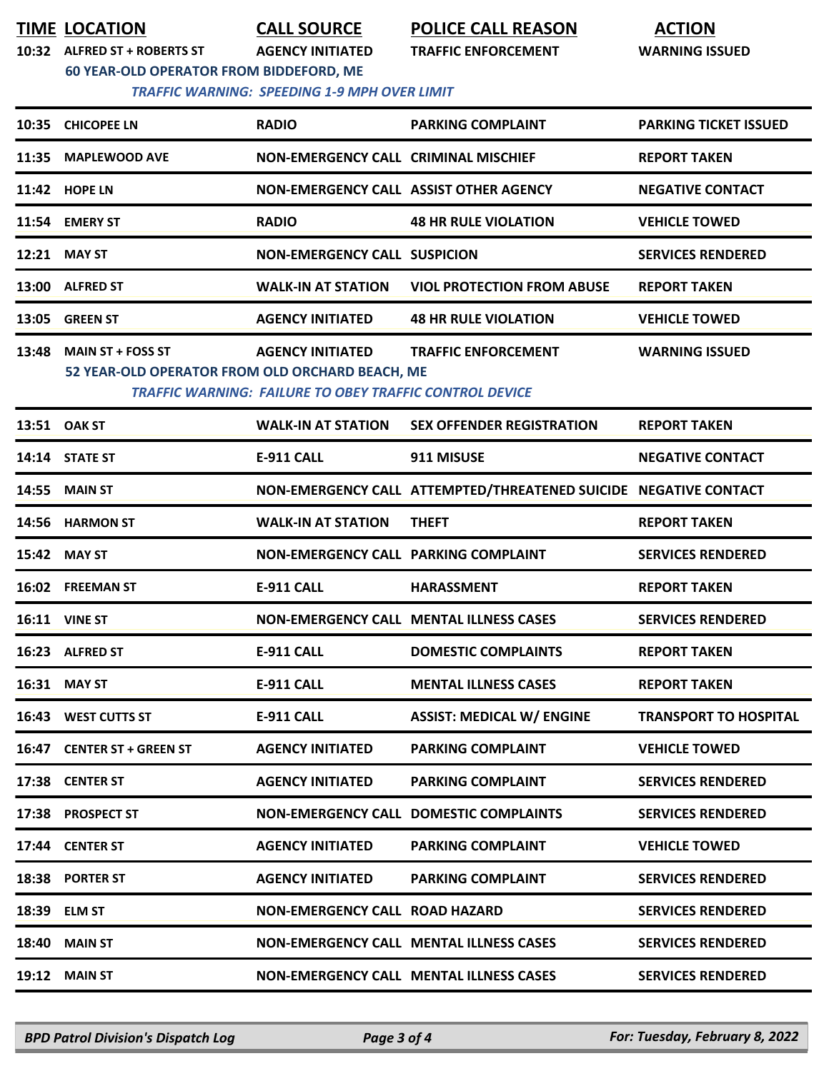**TIME LOCATION CALL SOURCE POLICE CALL REASON ACTION**

**10:32 ALFRED ST + ROBERTS ST AGENCY INITIATED TRAFFIC ENFORCEMENT WARNING ISSUED**

**60 YEAR-OLD OPERATOR FROM BIDDEFORD, ME**

## *TRAFFIC WARNING: SPEEDING 1-9 MPH OVER LIMIT*

|       | 10:35 CHICOPEE LN                                                           | <b>RADIO</b>                                                                              | <b>PARKING COMPLAINT</b>                                         | <b>PARKING TICKET ISSUED</b> |
|-------|-----------------------------------------------------------------------------|-------------------------------------------------------------------------------------------|------------------------------------------------------------------|------------------------------|
|       | 11:35 MAPLEWOOD AVE                                                         | <b>NON-EMERGENCY CALL CRIMINAL MISCHIEF</b>                                               |                                                                  | <b>REPORT TAKEN</b>          |
|       | 11:42 HOPE LN                                                               | NON-EMERGENCY CALL ASSIST OTHER AGENCY                                                    |                                                                  | <b>NEGATIVE CONTACT</b>      |
|       | 11:54 EMERY ST                                                              | <b>RADIO</b>                                                                              | <b>48 HR RULE VIOLATION</b>                                      | <b>VEHICLE TOWED</b>         |
|       | 12:21 MAY ST                                                                | <b>NON-EMERGENCY CALL SUSPICION</b>                                                       |                                                                  | <b>SERVICES RENDERED</b>     |
|       | 13:00 ALFRED ST                                                             | <b>WALK-IN AT STATION</b>                                                                 | <b>VIOL PROTECTION FROM ABUSE</b>                                | <b>REPORT TAKEN</b>          |
|       | 13:05 GREEN ST                                                              | <b>AGENCY INITIATED</b>                                                                   | <b>48 HR RULE VIOLATION</b>                                      | <b>VEHICLE TOWED</b>         |
| 13:48 | <b>MAIN ST + FOSS ST</b><br>52 YEAR-OLD OPERATOR FROM OLD ORCHARD BEACH, ME | <b>AGENCY INITIATED</b><br><b>TRAFFIC WARNING: FAILURE TO OBEY TRAFFIC CONTROL DEVICE</b> | <b>TRAFFIC ENFORCEMENT</b>                                       | <b>WARNING ISSUED</b>        |
|       | 13:51 OAK ST                                                                | <b>WALK-IN AT STATION</b>                                                                 | <b>SEX OFFENDER REGISTRATION</b>                                 | <b>REPORT TAKEN</b>          |
|       | 14:14 STATE ST                                                              | <b>E-911 CALL</b>                                                                         | 911 MISUSE                                                       | <b>NEGATIVE CONTACT</b>      |
| 14:55 | <b>MAIN ST</b>                                                              |                                                                                           | NON-EMERGENCY CALL ATTEMPTED/THREATENED SUICIDE NEGATIVE CONTACT |                              |
|       | 14:56 HARMON ST                                                             | <b>WALK-IN AT STATION</b>                                                                 | <b>THEFT</b>                                                     | <b>REPORT TAKEN</b>          |
|       | 15:42 MAY ST                                                                | NON-EMERGENCY CALL PARKING COMPLAINT                                                      |                                                                  | <b>SERVICES RENDERED</b>     |
|       | 16:02 FREEMAN ST                                                            | <b>E-911 CALL</b>                                                                         | <b>HARASSMENT</b>                                                | <b>REPORT TAKEN</b>          |
|       | <b>16:11 VINE ST</b>                                                        |                                                                                           | <b>NON-EMERGENCY CALL MENTAL ILLNESS CASES</b>                   | <b>SERVICES RENDERED</b>     |
|       | 16:23 ALFRED ST                                                             | E-911 CALL                                                                                | <b>DOMESTIC COMPLAINTS</b>                                       | <b>REPORT TAKEN</b>          |
|       | 16:31 MAY ST                                                                | <b>E-911 CALL</b>                                                                         | <b>MENTAL ILLNESS CASES</b>                                      | <b>REPORT TAKEN</b>          |
|       | 16:43 WEST CUTTS ST                                                         | E-911 CALL                                                                                | <b>ASSIST: MEDICAL W/ ENGINE</b>                                 | <b>TRANSPORT TO HOSPITAL</b> |
|       | 16:47 CENTER ST + GREEN ST                                                  | <b>AGENCY INITIATED</b>                                                                   | <b>PARKING COMPLAINT</b>                                         | <b>VEHICLE TOWED</b>         |
|       | 17:38 CENTER ST                                                             | <b>AGENCY INITIATED</b>                                                                   | <b>PARKING COMPLAINT</b>                                         | <b>SERVICES RENDERED</b>     |
|       | 17:38 PROSPECT ST                                                           |                                                                                           | <b>NON-EMERGENCY CALL DOMESTIC COMPLAINTS</b>                    | <b>SERVICES RENDERED</b>     |
|       | 17:44 CENTER ST                                                             | <b>AGENCY INITIATED</b>                                                                   | <b>PARKING COMPLAINT</b>                                         | <b>VEHICLE TOWED</b>         |
|       | 18:38 PORTER ST                                                             | <b>AGENCY INITIATED</b>                                                                   | <b>PARKING COMPLAINT</b>                                         | <b>SERVICES RENDERED</b>     |
|       | 18:39 ELM ST                                                                | <b>NON-EMERGENCY CALL ROAD HAZARD</b>                                                     |                                                                  | <b>SERVICES RENDERED</b>     |
|       | <b>18:40 MAIN ST</b>                                                        |                                                                                           | <b>NON-EMERGENCY CALL MENTAL ILLNESS CASES</b>                   | <b>SERVICES RENDERED</b>     |
|       | <b>19:12 MAIN ST</b>                                                        |                                                                                           | <b>NON-EMERGENCY CALL MENTAL ILLNESS CASES</b>                   | <b>SERVICES RENDERED</b>     |